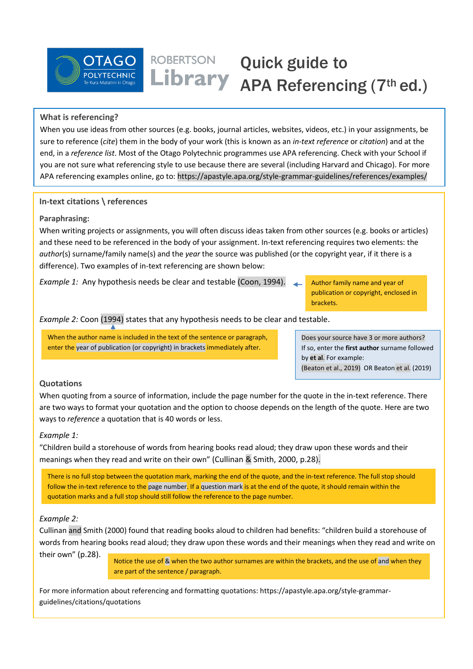

# Quick guide to Library APA Referencing (7th ed.)

# **What is referencing?**

When you use ideas from other sources (e.g. books, journal articles, websites, videos, etc.) in your assignments, be sure to reference (*cite*) them in the body of your work (this is known as an *in-text reference* or *citation*) and at the end, in a *reference list*. Most of the Otago Polytechnic programmes use APA referencing. Check with your School if you are not sure what referencing style to use because there are several (including Harvard and Chicago). For more APA referencing examples online, go to: https://apastyle.apa.org/style-grammar-guidelines/references/examples/

## **In-text citations \ references**

## **Paraphrasing:**

When writing projects or assignments, you will often discuss ideas taken from other sources (e.g. books or articles) and these need to be referenced in the body of your assignment. In-text referencing requires two elements: the *author*(s) surname/family name(s) and the *year* the source was published (or the copyright year, if it there is a difference). Two examples of in-text referencing are shown below:

*Example 1:* Any hypothesis needs be clear and testable (Coon, 1994).

Author family name and year of publication or copyright, enclosed in brackets.

*Example 2:* Coon (1994) states that any hypothesis needs to be clear and testable.

**ROBERTSON** 

When the author name is included in the text of the sentence or paragraph, enter the year of publication (or copyright) in brackets immediately after.

Does your source have 3 or more authors? If so, enter the **first author** surname followed by **et al**. For example: (Beaton et al., 2019) OR Beaton et al. (2019)

# **Quotations**

When quoting from a source of information, include the page number for the quote in the in-text reference. There are two ways to format your quotation and the option to choose depends on the length of the quote. Here are two ways to *reference* a quotation that is 40 words or less.

## *Example 1:*

"Children build a storehouse of words from hearing books read aloud; they draw upon these words and their meanings when they read and write on their own" (Cullinan & Smith, 2000, p.28).

There is no full stop between the quotation mark, marking the end of the quote, and the in-text reference. The full stop should follow the in-text reference to the page number. If a question mark is at the end of the quote, it should remain within the quotation marks and a full stop should still follow the reference to the page number.

## *Example 2:*

Cullinan and Smith (2000) found that reading books aloud to children had benefits: "children build a storehouse of words from hearing books read aloud; they draw upon these words and their meanings when they read and write on their own" (p.28).

Notice the use of & when the two author surnames are within the brackets, and the use of and when they are part of the sentence / paragraph.

For more information about referencing and formatting quotations: https://apastyle.apa.org/style-grammarguidelines/citations/quotations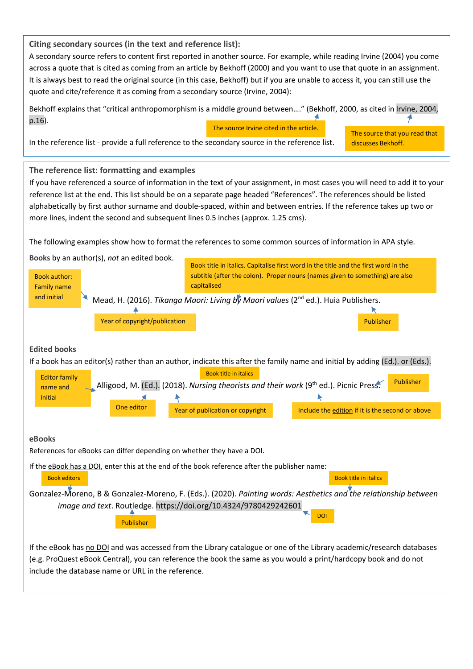# **Citing secondary sources (in the text and reference list):**

A secondary source refers to content first reported in another source. For example, while reading Irvine (2004) you come across a quote that is cited as coming from an article by Bekhoff (2000) and you want to use that quote in an assignment. It is always best to read the original source (in this case, Bekhoff) but if you are unable to access it, you can still use the quote and cite/reference it as coming from a secondary source (Irvine, 2004):



include the database name or URL in the reference.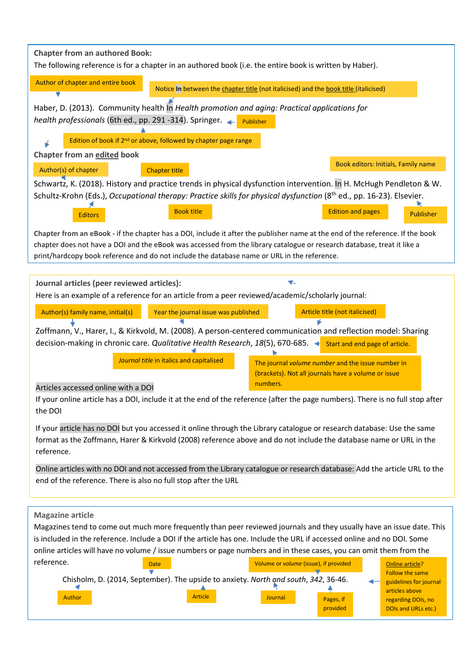| <b>Chapter from an authored Book:</b><br>The following reference is for a chapter in an authored book (i.e. the entire book is written by Haber).                                                                                                                                                                                                        |
|----------------------------------------------------------------------------------------------------------------------------------------------------------------------------------------------------------------------------------------------------------------------------------------------------------------------------------------------------------|
| Author of chapter and entire book<br>Notice In between the chapter title (not italicised) and the book title (italicised)                                                                                                                                                                                                                                |
|                                                                                                                                                                                                                                                                                                                                                          |
| Haber, D. (2013). Community health In Health promotion and aging: Practical applications for<br>health professionals (6th ed., pp. 291 -314). Springer.<br>Publisher                                                                                                                                                                                     |
| Edition of book if 2 <sup>nd</sup> or above, followed by chapter page range                                                                                                                                                                                                                                                                              |
| Chapter from an edited book                                                                                                                                                                                                                                                                                                                              |
| Book editors: Initials, Family name<br>Author(s) of chapter<br><b>Chapter title</b>                                                                                                                                                                                                                                                                      |
| Schwartz, K. (2018). History and practice trends in physical dysfunction intervention. In H. McHugh Pendleton & W.                                                                                                                                                                                                                                       |
| Schultz-Krohn (Eds.), Occupational therapy: Practice skills for physical dysfunction (8th ed., pp. 16-23). Elsevier.                                                                                                                                                                                                                                     |
| <b>Book title</b><br><b>Edition and pages</b><br><b>Publisher</b><br><b>Editors</b>                                                                                                                                                                                                                                                                      |
| Chapter from an eBook - if the chapter has a DOI, include it after the publisher name at the end of the reference. If the book<br>chapter does not have a DOI and the eBook was accessed from the library catalogue or research database, treat it like a<br>print/hardcopy book reference and do not include the database name or URL in the reference. |
|                                                                                                                                                                                                                                                                                                                                                          |
| Journal articles (peer reviewed articles):<br>Here is an example of a reference for an article from a peer reviewed/academic/scholarly journal:                                                                                                                                                                                                          |
|                                                                                                                                                                                                                                                                                                                                                          |
| Article title (not italicised)<br>Author(s) family name, initial(s)<br>Year the journal issue was published                                                                                                                                                                                                                                              |
| Zoffmann, V., Harer, I., & Kirkvold, M. (2008). A person-centered communication and reflection model: Sharing                                                                                                                                                                                                                                            |
| decision-making in chronic care. Qualitative Health Research, 18(5), 670-685. < start and end page of article.                                                                                                                                                                                                                                           |
| Journal title in italics and capitalised<br>The journal volume number and the issue number in<br>(brackets). Not all journals have a volume or issue                                                                                                                                                                                                     |
| numbers.<br>Articles accessed online with a DOI                                                                                                                                                                                                                                                                                                          |
| If your online article has a DOI, include it at the end of the reference (after the page numbers). There is no full stop after<br>the DOI                                                                                                                                                                                                                |
| If your article has no DOI but you accessed it online through the Library catalogue or research database: Use the same                                                                                                                                                                                                                                   |
| format as the Zoffmann, Harer & Kirkvold (2008) reference above and do not include the database name or URL in the<br>reference.                                                                                                                                                                                                                         |
| Online articles with no DOI and not accessed from the Library catalogue or research database: Add the article URL to the                                                                                                                                                                                                                                 |
| end of the reference. There is also no full stop after the URL                                                                                                                                                                                                                                                                                           |
|                                                                                                                                                                                                                                                                                                                                                          |
| <b>Magazine article</b><br>Magazines tend to come out much more frequently than peer reviewed journals and they usually have an issue date. This<br>is included in the reference. Include a DOI if the article has one. Include the URL if accessed online and no DOI. Some                                                                              |
| online articles will have no volume / issue numbers or page numbers and in these cases, you can omit them from the                                                                                                                                                                                                                                       |
| reference.<br>Volume or volume (issue), if provided<br>Online article?<br>Date                                                                                                                                                                                                                                                                           |
| <b>Follow the same</b><br>Chisholm, D. (2014, September). The upside to anxiety. North and south, 342, 36-46.<br>guidelines for journal                                                                                                                                                                                                                  |
| articles above<br><b>Article</b><br>Author<br>Journal<br>Pages, if<br>regarding DOIs, no<br>provided<br>DOIs and URLs etc.)                                                                                                                                                                                                                              |